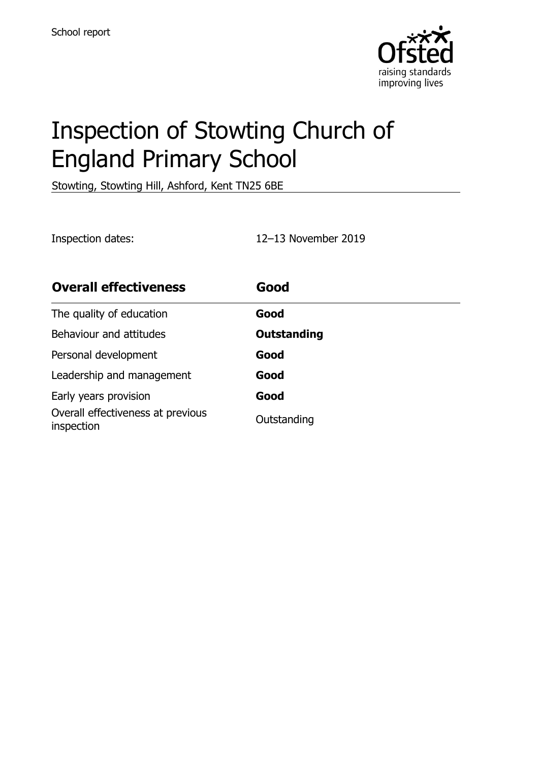

# Inspection of Stowting Church of England Primary School

Stowting, Stowting Hill, Ashford, Kent TN25 6BE

Inspection dates: 12–13 November 2019

| <b>Overall effectiveness</b>                    | Good               |
|-------------------------------------------------|--------------------|
| The quality of education                        | Good               |
| Behaviour and attitudes                         | <b>Outstanding</b> |
| Personal development                            | Good               |
| Leadership and management                       | Good               |
| Early years provision                           | Good               |
| Overall effectiveness at previous<br>inspection | Outstanding        |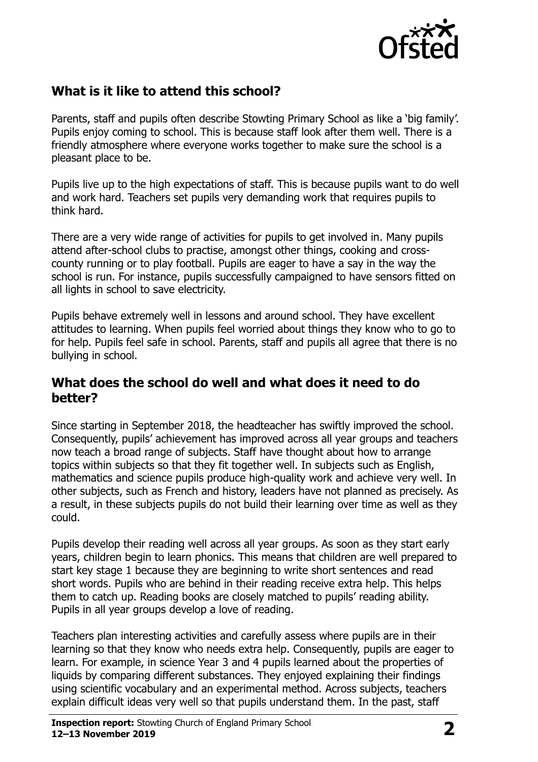

## **What is it like to attend this school?**

Parents, staff and pupils often describe Stowting Primary School as like a 'big family'. Pupils enjoy coming to school. This is because staff look after them well. There is a friendly atmosphere where everyone works together to make sure the school is a pleasant place to be.

Pupils live up to the high expectations of staff. This is because pupils want to do well and work hard. Teachers set pupils very demanding work that requires pupils to think hard.

There are a very wide range of activities for pupils to get involved in. Many pupils attend after-school clubs to practise, amongst other things, cooking and crosscounty running or to play football. Pupils are eager to have a say in the way the school is run. For instance, pupils successfully campaigned to have sensors fitted on all lights in school to save electricity.

Pupils behave extremely well in lessons and around school. They have excellent attitudes to learning. When pupils feel worried about things they know who to go to for help. Pupils feel safe in school. Parents, staff and pupils all agree that there is no bullying in school.

#### **What does the school do well and what does it need to do better?**

Since starting in September 2018, the headteacher has swiftly improved the school. Consequently, pupils' achievement has improved across all year groups and teachers now teach a broad range of subjects. Staff have thought about how to arrange topics within subjects so that they fit together well. In subjects such as English, mathematics and science pupils produce high-quality work and achieve very well. In other subjects, such as French and history, leaders have not planned as precisely. As a result, in these subjects pupils do not build their learning over time as well as they could.

Pupils develop their reading well across all year groups. As soon as they start early years, children begin to learn phonics. This means that children are well prepared to start key stage 1 because they are beginning to write short sentences and read short words. Pupils who are behind in their reading receive extra help. This helps them to catch up. Reading books are closely matched to pupils' reading ability. Pupils in all year groups develop a love of reading.

Teachers plan interesting activities and carefully assess where pupils are in their learning so that they know who needs extra help. Consequently, pupils are eager to learn. For example, in science Year 3 and 4 pupils learned about the properties of liquids by comparing different substances. They enjoyed explaining their findings using scientific vocabulary and an experimental method. Across subjects, teachers explain difficult ideas very well so that pupils understand them. In the past, staff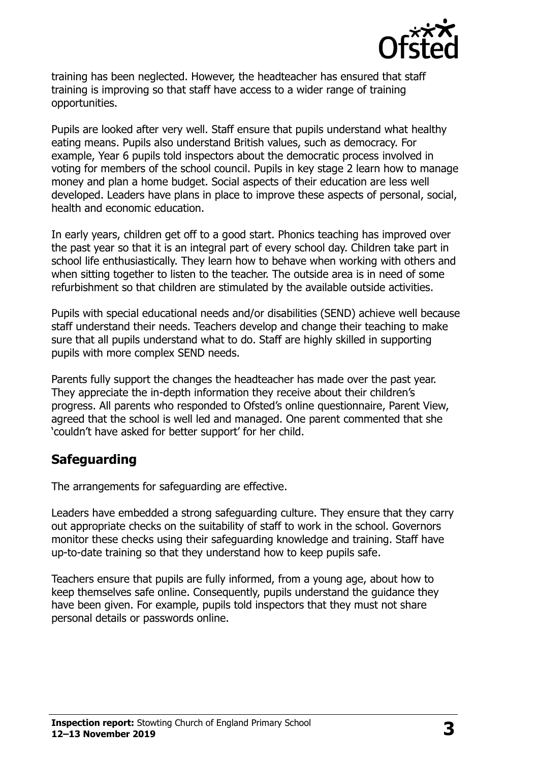

training has been neglected. However, the headteacher has ensured that staff training is improving so that staff have access to a wider range of training opportunities.

Pupils are looked after very well. Staff ensure that pupils understand what healthy eating means. Pupils also understand British values, such as democracy. For example, Year 6 pupils told inspectors about the democratic process involved in voting for members of the school council. Pupils in key stage 2 learn how to manage money and plan a home budget. Social aspects of their education are less well developed. Leaders have plans in place to improve these aspects of personal, social, health and economic education.

In early years, children get off to a good start. Phonics teaching has improved over the past year so that it is an integral part of every school day. Children take part in school life enthusiastically. They learn how to behave when working with others and when sitting together to listen to the teacher. The outside area is in need of some refurbishment so that children are stimulated by the available outside activities.

Pupils with special educational needs and/or disabilities (SEND) achieve well because staff understand their needs. Teachers develop and change their teaching to make sure that all pupils understand what to do. Staff are highly skilled in supporting pupils with more complex SEND needs.

Parents fully support the changes the headteacher has made over the past year. They appreciate the in-depth information they receive about their children's progress. All parents who responded to Ofsted's online questionnaire, Parent View, agreed that the school is well led and managed. One parent commented that she 'couldn't have asked for better support' for her child.

#### **Safeguarding**

The arrangements for safeguarding are effective.

Leaders have embedded a strong safeguarding culture. They ensure that they carry out appropriate checks on the suitability of staff to work in the school. Governors monitor these checks using their safeguarding knowledge and training. Staff have up-to-date training so that they understand how to keep pupils safe.

Teachers ensure that pupils are fully informed, from a young age, about how to keep themselves safe online. Consequently, pupils understand the guidance they have been given. For example, pupils told inspectors that they must not share personal details or passwords online.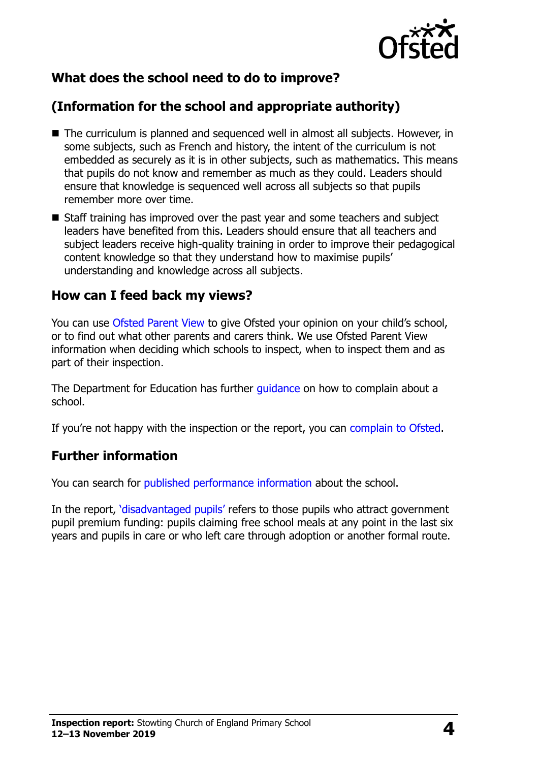

## **What does the school need to do to improve?**

## **(Information for the school and appropriate authority)**

- The curriculum is planned and sequenced well in almost all subjects. However, in some subjects, such as French and history, the intent of the curriculum is not embedded as securely as it is in other subjects, such as mathematics. This means that pupils do not know and remember as much as they could. Leaders should ensure that knowledge is sequenced well across all subjects so that pupils remember more over time.
- Staff training has improved over the past year and some teachers and subject leaders have benefited from this. Leaders should ensure that all teachers and subject leaders receive high-quality training in order to improve their pedagogical content knowledge so that they understand how to maximise pupils' understanding and knowledge across all subjects.

#### **How can I feed back my views?**

You can use [Ofsted Parent View](http://parentview.ofsted.gov.uk/) to give Ofsted your opinion on your child's school, or to find out what other parents and carers think. We use Ofsted Parent View information when deciding which schools to inspect, when to inspect them and as part of their inspection.

The Department for Education has further *guidance* on how to complain about a school.

If you're not happy with the inspection or the report, you can [complain to Ofsted.](http://www.gov.uk/complain-ofsted-report)

#### **Further information**

You can search for [published performance information](http://www.compare-school-performance.service.gov.uk/) about the school.

In the report, '[disadvantaged pupils](http://www.gov.uk/guidance/pupil-premium-information-for-schools-and-alternative-provision-settings)' refers to those pupils who attract government pupil premium funding: pupils claiming free school meals at any point in the last six years and pupils in care or who left care through adoption or another formal route.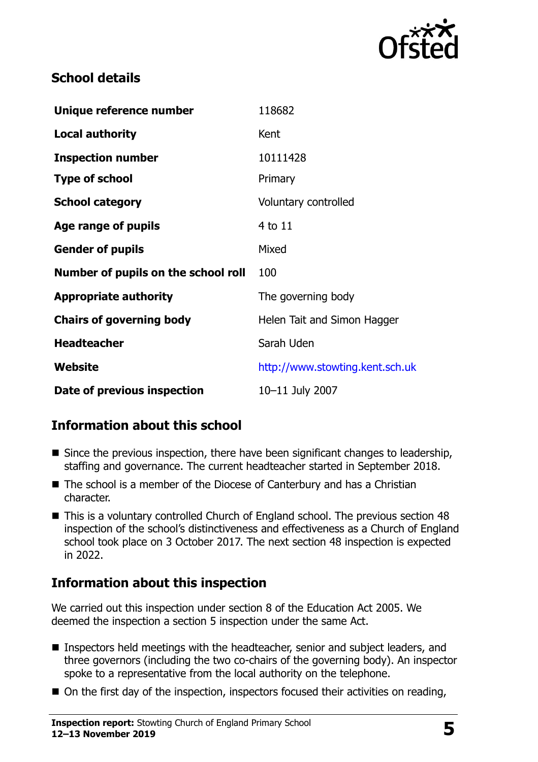

### **School details**

| Unique reference number             | 118682                          |
|-------------------------------------|---------------------------------|
| <b>Local authority</b>              | Kent                            |
| <b>Inspection number</b>            | 10111428                        |
| <b>Type of school</b>               | Primary                         |
| <b>School category</b>              | Voluntary controlled            |
| Age range of pupils                 | 4 to 11                         |
| <b>Gender of pupils</b>             | Mixed                           |
| Number of pupils on the school roll | 100                             |
| <b>Appropriate authority</b>        | The governing body              |
| <b>Chairs of governing body</b>     | Helen Tait and Simon Hagger     |
| <b>Headteacher</b>                  | Sarah Uden                      |
| Website                             | http://www.stowting.kent.sch.uk |
| Date of previous inspection         | 10-11 July 2007                 |

## **Information about this school**

- Since the previous inspection, there have been significant changes to leadership, staffing and governance. The current headteacher started in September 2018.
- The school is a member of the Diocese of Canterbury and has a Christian character.
- This is a voluntary controlled Church of England school. The previous section 48 inspection of the school's distinctiveness and effectiveness as a Church of England school took place on 3 October 2017. The next section 48 inspection is expected in 2022.

#### **Information about this inspection**

We carried out this inspection under section 8 of the Education Act 2005. We deemed the inspection a section 5 inspection under the same Act.

- Inspectors held meetings with the headteacher, senior and subject leaders, and three governors (including the two co-chairs of the governing body). An inspector spoke to a representative from the local authority on the telephone.
- On the first day of the inspection, inspectors focused their activities on reading,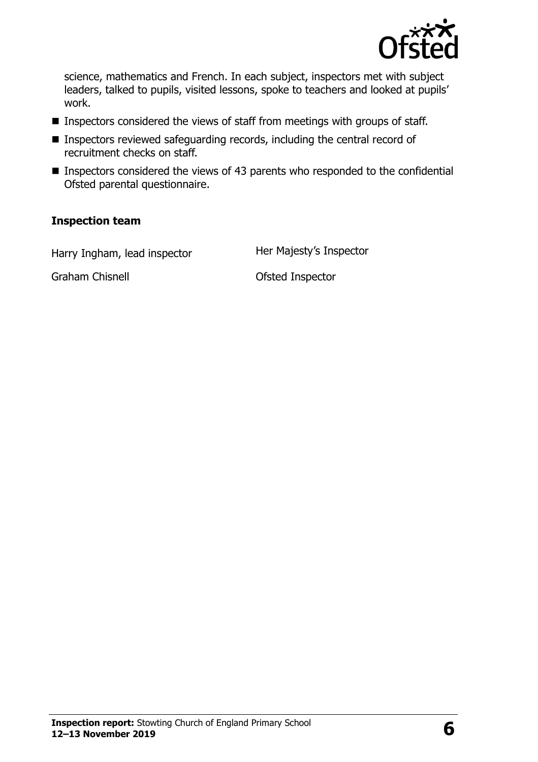

science, mathematics and French. In each subject, inspectors met with subject leaders, talked to pupils, visited lessons, spoke to teachers and looked at pupils' work.

- Inspectors considered the views of staff from meetings with groups of staff.
- Inspectors reviewed safeguarding records, including the central record of recruitment checks on staff.
- Inspectors considered the views of 43 parents who responded to the confidential Ofsted parental questionnaire.

#### **Inspection team**

Harry Ingham, lead inspector **Her Majesty's Inspector** 

Graham Chisnell **Canadian Chisnell** Craham Chisnell **Ofsted Inspector**